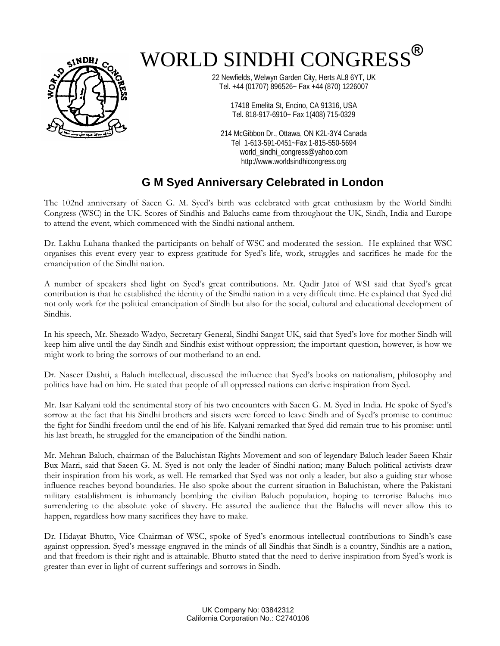

## WORLD SINDHI CONGRESS**®**

22 Newfields, Welwyn Garden City, Herts AL8 6YT, UK Tel. +44 (01707) 896526~ Fax +44 (870) 1226007

> 17418 Emelita St, Encino, CA 91316, USA Tel. 818-917-6910~ Fax 1(408) 715-0329

214 McGibbon Dr., Ottawa, ON K2L-3Y4 Canada Tel 1-613-591-0451~Fax 1-815-550-5694 world\_sindhi\_congress@yahoo.com http://www.worldsindhicongress.org

## **G M Syed Anniversary Celebrated in London**

The 102nd anniversary of Saeen G. M. Syed's birth was celebrated with great enthusiasm by the World Sindhi Congress (WSC) in the UK. Scores of Sindhis and Baluchs came from throughout the UK, Sindh, India and Europe to attend the event, which commenced with the Sindhi national anthem.

Dr. Lakhu Luhana thanked the participants on behalf of WSC and moderated the session. He explained that WSC organises this event every year to express gratitude for Syed's life, work, struggles and sacrifices he made for the emancipation of the Sindhi nation.

A number of speakers shed light on Syed's great contributions. Mr. Qadir Jatoi of WSI said that Syed's great contribution is that he established the identity of the Sindhi nation in a very difficult time. He explained that Syed did not only work for the political emancipation of Sindh but also for the social, cultural and educational development of Sindhis.

In his speech, Mr. Shezado Wadyo, Secretary General, Sindhi Sangat UK, said that Syed's love for mother Sindh will keep him alive until the day Sindh and Sindhis exist without oppression; the important question, however, is how we might work to bring the sorrows of our motherland to an end.

Dr. Naseer Dashti, a Baluch intellectual, discussed the influence that Syed's books on nationalism, philosophy and politics have had on him. He stated that people of all oppressed nations can derive inspiration from Syed.

Mr. Isar Kalyani told the sentimental story of his two encounters with Saeen G. M. Syed in India. He spoke of Syed's sorrow at the fact that his Sindhi brothers and sisters were forced to leave Sindh and of Syed's promise to continue the fight for Sindhi freedom until the end of his life. Kalyani remarked that Syed did remain true to his promise: until his last breath, he struggled for the emancipation of the Sindhi nation.

Mr. Mehran Baluch, chairman of the Baluchistan Rights Movement and son of legendary Baluch leader Saeen Khair Bux Marri, said that Saeen G. M. Syed is not only the leader of Sindhi nation; many Baluch political activists draw their inspiration from his work, as well. He remarked that Syed was not only a leader, but also a guiding star whose influence reaches beyond boundaries. He also spoke about the current situation in Baluchistan, where the Pakistani military establishment is inhumanely bombing the civilian Baluch population, hoping to terrorise Baluchs into surrendering to the absolute yoke of slavery. He assured the audience that the Baluchs will never allow this to happen, regardless how many sacrifices they have to make.

Dr. Hidayat Bhutto, Vice Chairman of WSC, spoke of Syed's enormous intellectual contributions to Sindh's case against oppression. Syed's message engraved in the minds of all Sindhis that Sindh is a country, Sindhis are a nation, and that freedom is their right and is attainable. Bhutto stated that the need to derive inspiration from Syed's work is greater than ever in light of current sufferings and sorrows in Sindh.